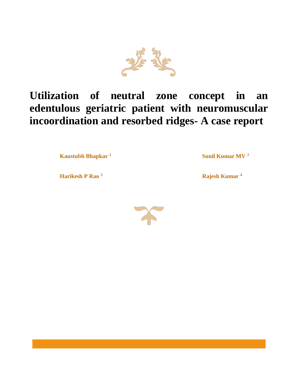

# **Utilization of neutral zone concept in an edentulous geriatric patient with neuromuscular incoordination and resorbed ridges- A case report**

**1 Kaustubh Bhapkar <sup>1</sup> Sunil Kumar MV** <sup>2</sup>

**Harikesh P Rao** <sup>3</sup> **Rajesh Kumar** <sup>4</sup>

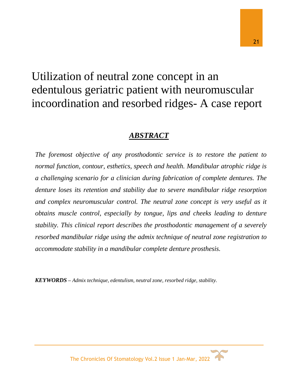# Utilization of neutral zone concept in an edentulous geriatric patient with neuromuscular incoordination and resorbed ridges- A case report

# *ABSTRACT*

*The foremost objective of any prosthodontic service is to restore the patient to normal function, contour, esthetics, speech and health. Mandibular atrophic ridge is a challenging scenario for a clinician during fabrication of complete dentures. The denture loses its retention and stability due to severe mandibular ridge resorption and complex neuromuscular control. The neutral zone concept is very useful as it obtains muscle control, especially by tongue, lips and cheeks leading to denture stability. This clinical report describes the prosthodontic management of a severely resorbed mandibular ridge using the admix technique of neutral zone registration to accommodate stability in a mandibular complete denture prosthesis.*

*KEYWORDS – Admix technique, edentulism, neutral zone, resorbed ridge, stability.*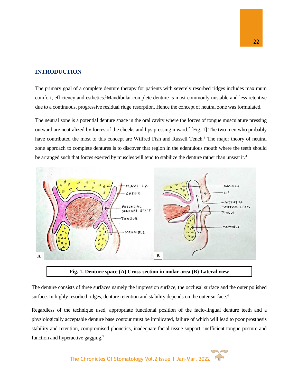#### **INTRODUCTION**

The primary goal of a complete denture therapy for patients with severely resorbed ridges includes maximum comfort, efficiency and esthetics.<sup>1</sup>Mandibular complete denture is most commonly unstable and less retentive due to a continuous, progressive residual ridge resorption. Hence the concept of neutral zone was formulated.

The neutral zone is a potential denture space in the oral cavity where the forces of tongue musculature pressing outward are neutralized by forces of the cheeks and lips pressing inward.<sup>2</sup> [Fig. 1] The two men who probably have contributed the most to this concept are WiIfred Fish and Russell Tench.<sup>2</sup> The major theory of neutral zone approach to complete dentures is to discover that region in the edentulous mouth where the teeth should be arranged such that forces exerted by muscles will tend to stabilize the denture rather than unseat it.<sup>3</sup>



**Fig. 1. Denture space (A) Cross-section in molar area (B) Lateral view**

The denture consists of three surfaces namely the impression surface, the occlusal surface and the outer polished surface. In highly resorbed ridges, denture retention and stability depends on the outer surface.<sup>4</sup>

Regardless of the technique used, appropriate functional position of the facio-lingual denture teeth and a physiologically acceptable denture base contour must be implicated, failure of which will lead to poor prosthesis stability and retention, compromised phonetics, inadequate facial tissue support, inefficient tongue posture and function and hyperactive gagging.<sup>5</sup>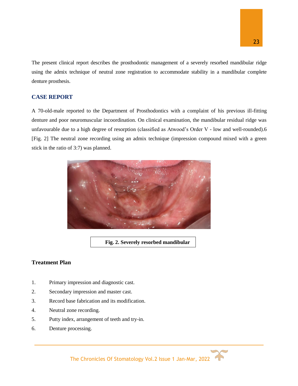The present clinical report describes the prosthodontic management of a severely resorbed mandibular ridge using the admix technique of neutral zone registration to accommodate stability in a mandibular complete denture prosthesis.

## **CASE REPORT**

A 70-old-male reported to the Department of Prosthodontics with a complaint of his previous ill-fitting denture and poor neuromuscular incoordination. On clinical examination, the mandibular residual ridge was unfavourable due to a high degree of resorption (classified as Atwood's Order V - low and well-rounded).6 [Fig. 2] The neutral zone recording using an admix technique (impression compound mixed with a green stick in the ratio of 3:7) was planned.



**Fig. 2. Severely resorbed mandibular** 

# **Treatment Plan**

- 1. Primary impression and diagnostic cast.
- 2. Secondary impression and master cast.
- 3. Record base fabrication and its modification.

**rge**

- 4. Neutral zone recording.
- 5. Putty index, arrangement of teeth and try-in.
- 6. Denture processing.

The Chronicles Of Stomatology Vol.2 Issue 1 Jan-Mar, 2022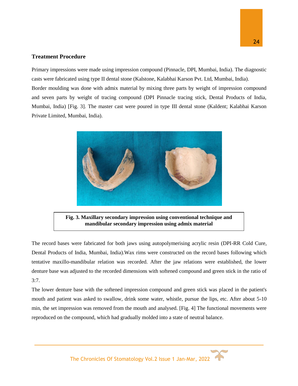### **Treatment Procedure**

Primary impressions were made using impression compound (Pinnacle, DPI, Mumbai, India). The diagnostic casts were fabricated using type II dental stone (Kalstone, Kalabhai Karson Pvt. Ltd, Mumbai, India). Border moulding was done with admix material by mixing three parts by weight of impression compound and seven parts by weight of tracing compound (DPI Pinnacle tracing stick, Dental Products of India, Mumbai, India) [Fig. 3]. The master cast were poured in type III dental stone (Kaldent; Kalabhai Karson Private Limited, Mumbai, India).



**Fig. 3. Maxillary secondary impression using conventional technique and mandibular secondary impression using admix material**

The record bases were fabricated for both jaws using autopolymerising acrylic resin (DPI-RR Cold Cure, Dental Products of India, Mumbai, India).Wax rims were constructed on the record bases following which tentative maxillo-mandibular relation was recorded. After the jaw relations were established, the lower denture base was adjusted to the recorded dimensions with softened compound and green stick in the ratio of 3:7.

The lower denture base with the softened impression compound and green stick was placed in the patient's mouth and patient was asked to swallow, drink some water, whistle, pursue the lips, etc. After about 5-10 min, the set impression was removed from the mouth and analysed. [Fig. 4] The functional movements were reproduced on the compound, which had gradually molded into a state of neutral balance.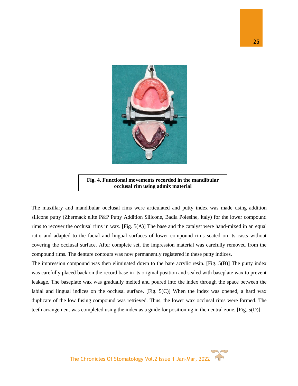

**Fig. 4. Functional movements recorded in the mandibular occlusal rim using admix material**

The maxillary and mandibular occlusal rims were articulated and putty index was made using addition silicone putty (Zhermack elite P&P Putty Addition Silicone, Badia Polesine, Italy) for the lower compound rims to recover the occlusal rims in wax. [Fig. 5(A)] The base and the catalyst were hand-mixed in an equal ratio and adapted to the facial and lingual surfaces of lower compound rims seated on its casts without covering the occlusal surface. After complete set, the impression material was carefully removed from the compound rims. The denture contours was now permanently registered in these putty indices.

The impression compound was then eliminated down to the bare acrylic resin. [Fig. 5(B)] The putty index was carefully placed back on the record base in its original position and sealed with baseplate wax to prevent leakage. The baseplate wax was gradually melted and poured into the index through the space between the labial and lingual indices on the occlusal surface. [Fig. 5(C)] When the index was opened, a hard wax duplicate of the low fusing compound was retrieved. Thus, the lower wax occlusal rims were formed. The teeth arrangement was completed using the index as a guide for positioning in the neutral zone. [Fig. 5(D)]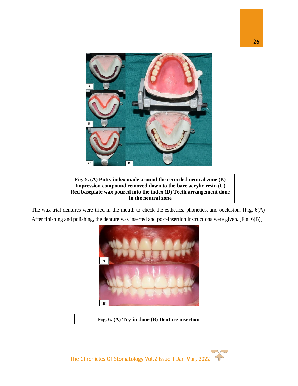

**Fig. 5. (A) Putty index made around the recorded neutral zone (B) Impression compound removed down to the bare acrylic resin (C) Red baseplate wax poured into the index (D) Teeth arrangement done in the neutral zone**

The wax trial dentures were tried in the mouth to check the esthetics, phonetics, and occlusion. [Fig. 6(A)] After finishing and polishing, the denture was inserted and post-insertion instructions were given. [Fig. 6(B)]



**Fig. 6. (A) Try-in done (B) Denture insertion**

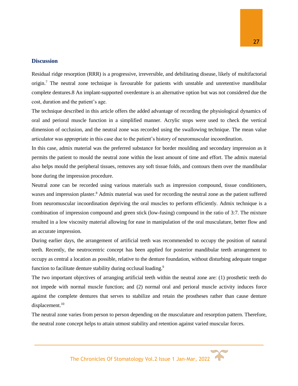#### **Discussion**

Residual ridge resorption (RRR) is a progressive, irreversible, and debilitating disease, likely of multifactorial origin.<sup>7</sup> The neutral zone technique is favourable for patients with unstable and unretentive mandibular complete dentures.8 An implant-supported overdenture is an alternative option but was not considered due the cost, duration and the patient's age.

The technique described in this article offers the added advantage of recording the physiological dynamics of oral and perioral muscle function in a simplified manner. Acrylic stops were used to check the vertical dimension of occlusion, and the neutral zone was recorded using the swallowing technique. The mean value articulator was appropriate in this case due to the patient's history of neuromuscular incoordination.

In this case, admix material was the preferred substance for border moulding and secondary impression as it permits the patient to mould the neutral zone within the least amount of time and effort. The admix material also helps mould the peripheral tissues, removes any soft tissue folds, and contours them over the mandibular bone during the impression procedure.

Neutral zone can be recorded using various materials such as impression compound, tissue conditioners, waxes and impression plaster.<sup>8</sup> Admix material was used for recording the neutral zone as the patient suffered from neuromuscular incoordination depriving the oral muscles to perform efficiently. Admix technique is a combination of impression compound and green stick (low-fusing) compound in the ratio of 3:7. The mixture resulted in a low viscosity material allowing for ease in manipulation of the oral musculature, better flow and an accurate impression.

During earlier days, the arrangement of artificial teeth was recommended to occupy the position of natural teeth. Recently, the neutrocentric concept has been applied for posterior mandibular teeth arrangement to occupy as central a location as possible, relative to the denture foundation, without disturbing adequate tongue function to facilitate denture stability during occlusal loading.<sup>9</sup>

The two important objectives of arranging artificial teeth within the neutral zone are: (1) prosthetic teeth do not impede with normal muscle function; and (2) normal oral and perioral muscle activity induces force against the complete dentures that serves to stabilize and retain the prostheses rather than cause denture displacement.<sup>10</sup>

The neutral zone varies from person to person depending on the musculature and resorption pattern. Therefore, the neutral zone concept helps to attain utmost stability and retention against varied muscular forces.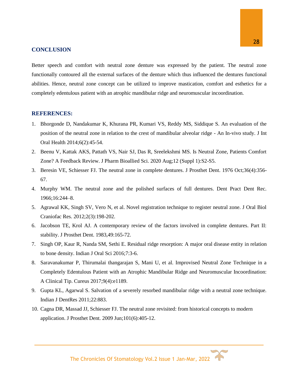#### **CONCLUSION**

Better speech and comfort with neutral zone denture was expressed by the patient. The neutral zone functionally contoured all the external surfaces of the denture which thus influenced the dentures functional abilities. Hence, neutral zone concept can be utilized to improve mastication, comfort and esthetics for a completely edentulous patient with an atrophic mandibular ridge and neuromuscular incoordination.

#### **REFERENCES:**

- 1. Bhorgonde D, Nandakumar K, Khurana PR, Kumari VS, Reddy MS, Siddique S. An evaluation of the position of the neutral zone in relation to the crest of mandibular alveolar ridge - An In-vivo study. J Int Oral Health 2014;6(2):45-54.
- 2. Beenu V, Kattak AKS, Pattath VS, Nair SJ, Das R, Sreelekshmi MS. Is Neutral Zone, Patients Comfort Zone? A Feedback Review. J Pharm Bioallied Sci. 2020 Aug;12 (Suppl 1):S2-S5.
- 3. Beresin VE, Schiesser FJ. The neutral zone in complete dentures. J Prosthet Dent. 1976 Oct;36(4):356- 67.
- 4. Murphy WM. The neutral zone and the polished surfaces of full dentures. Dent Pract Dent Rec. 1966;16:244–8.
- 5. Agrawal KK, Singh SV, Vero N, et al. Novel registration technique to register neutral zone. J Oral Biol Craniofac Res. 2012;2(3):198-202.
- 6. Jacobson TE, Krol AJ. A contemporary review of the factors involved in complete dentures. Part II: stability. J Prosthet Dent. 1983,49:165-72.
- 7. Singh OP, Kaur R, Nanda SM, Sethi E. Residual ridge resorption: A major oral disease entity in relation to bone density. Indian J Oral Sci 2016;7:3-6.
- 8. Saravanakumar P, Thirumalai thangarajan S, Mani U, et al. Improvised Neutral Zone Technique in a Completely Edentulous Patient with an Atrophic Mandibular Ridge and Neuromuscular Incoordination: A Clinical Tip. Cureus 2017;9(4):e1189.
- 9. Gupta KL, Agarwal S. Salvation of a severely resorbed mandibular ridge with a neutral zone technique. Indian J DentRes 2011;22:883.
- 10. Cagna DR, Massad JJ, Schiesser FJ. The neutral zone revisited: from historical concepts to modern application. J Prosthet Dent. 2009 Jun;101(6):405-12.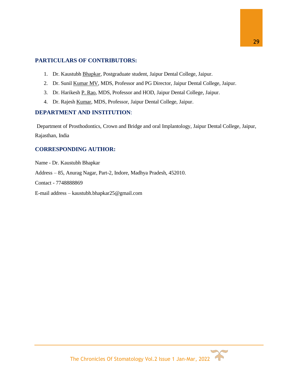# **PARTICULARS OF CONTRIBUTORS:**

- 1. Dr. Kaustubh Bhapkar, Postgraduate student, Jaipur Dental College, Jaipur.
- 2. Dr. Sunil Kumar MV, MDS, Professor and PG Director, Jaipur Dental College, Jaipur.
- 3. Dr. Harikesh P. Rao, MDS, Professor and HOD, Jaipur Dental College, Jaipur.
- 4. Dr. Rajesh Kumar, MDS, Professor, Jaipur Dental College, Jaipur.

## **DEPARTMENT AND INSTITUTION**:

Department of Prosthodontics, Crown and Bridge and oral Implantology, Jaipur Dental College, Jaipur, Rajasthan, India

# **CORRESPONDING AUTHOR:**

Name - Dr. Kaustubh Bhapkar Address – 85, Anurag Nagar, Part-2, Indore, Madhya Pradesh, 452010.

Contact - 7748888869

E-mail address – [kaustubh.bhapkar25@gmail.com](mailto:kaustubh.bhapkar25@gmail.com)